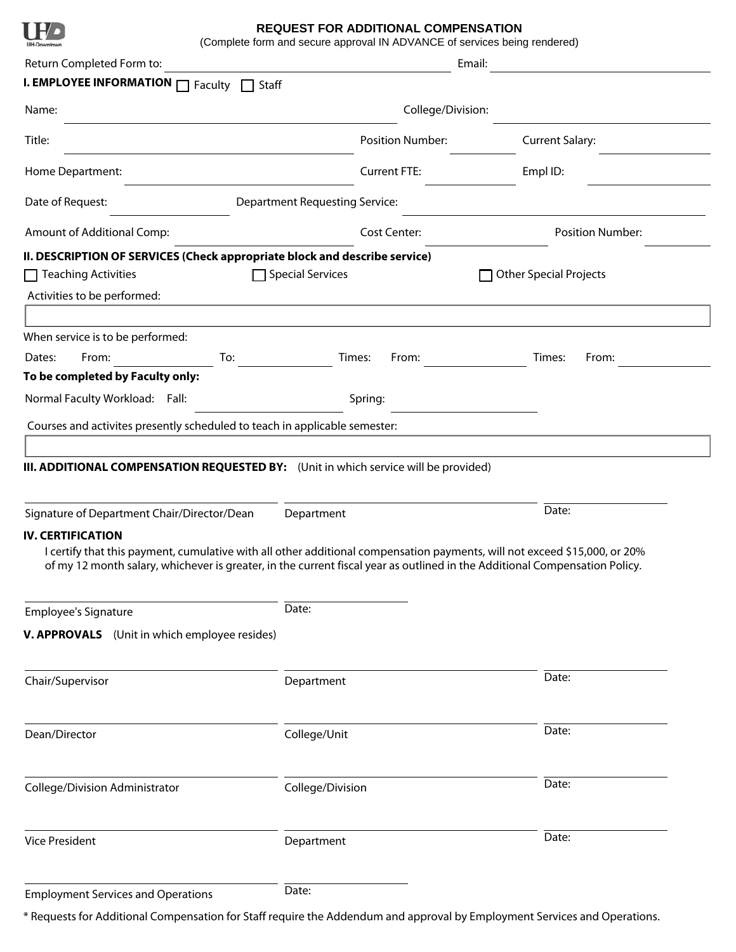

## **REQUEST FOR ADDITIONAL COMPENSATION**

(Complete form and secure approval IN ADVANCE of services being rendered)

| Return Completed Form to:                                                  |                                                                                                                                                                                                                                                         | Email:                        |  |
|----------------------------------------------------------------------------|---------------------------------------------------------------------------------------------------------------------------------------------------------------------------------------------------------------------------------------------------------|-------------------------------|--|
| <b>I. EMPLOYEE INFORMATION</b> □ Faculty □ Staff                           |                                                                                                                                                                                                                                                         |                               |  |
| Name:                                                                      | College/Division:                                                                                                                                                                                                                                       |                               |  |
| Title:                                                                     | <b>Position Number:</b>                                                                                                                                                                                                                                 | <b>Current Salary:</b>        |  |
| Home Department:                                                           | <b>Current FTE:</b>                                                                                                                                                                                                                                     | Empl ID:                      |  |
| Date of Request:                                                           | <b>Department Requesting Service:</b>                                                                                                                                                                                                                   |                               |  |
| Amount of Additional Comp:                                                 | <b>Cost Center:</b>                                                                                                                                                                                                                                     | <b>Position Number:</b>       |  |
| II. DESCRIPTION OF SERVICES (Check appropriate block and describe service) |                                                                                                                                                                                                                                                         |                               |  |
| $\Box$ Teaching Activities                                                 | <b>Special Services</b>                                                                                                                                                                                                                                 | <b>Other Special Projects</b> |  |
| Activities to be performed:                                                |                                                                                                                                                                                                                                                         |                               |  |
|                                                                            |                                                                                                                                                                                                                                                         |                               |  |
| When service is to be performed:                                           |                                                                                                                                                                                                                                                         |                               |  |
| From:<br>Dates:<br>To:                                                     | Times:<br>From:                                                                                                                                                                                                                                         | Times:<br>From:               |  |
| To be completed by Faculty only:                                           |                                                                                                                                                                                                                                                         |                               |  |
| Normal Faculty Workload: Fall:                                             | Spring:                                                                                                                                                                                                                                                 |                               |  |
|                                                                            |                                                                                                                                                                                                                                                         |                               |  |
| Courses and activites presently scheduled to teach in applicable semester: |                                                                                                                                                                                                                                                         |                               |  |
| Signature of Department Chair/Director/Dean                                | Department                                                                                                                                                                                                                                              | Date:                         |  |
| <b>IV. CERTIFICATION</b>                                                   | I certify that this payment, cumulative with all other additional compensation payments, will not exceed \$15,000, or 20%<br>of my 12 month salary, whichever is greater, in the current fiscal year as outlined in the Additional Compensation Policy. |                               |  |
| <b>Employee's Signature</b>                                                | Date:                                                                                                                                                                                                                                                   |                               |  |
| V. APPROVALS (Unit in which employee resides)                              |                                                                                                                                                                                                                                                         |                               |  |
| Chair/Supervisor                                                           | Department                                                                                                                                                                                                                                              | Date:                         |  |
| Dean/Director                                                              | College/Unit                                                                                                                                                                                                                                            | Date:                         |  |
| College/Division Administrator                                             | College/Division                                                                                                                                                                                                                                        | Date:                         |  |
| <b>Vice President</b>                                                      | Department                                                                                                                                                                                                                                              | Date:                         |  |
| <b>Employment Services and Operations</b>                                  | Date:                                                                                                                                                                                                                                                   |                               |  |

\* Requests for Additional Compensation for Staff require the Addendum and approval by Employment Services and Operations.